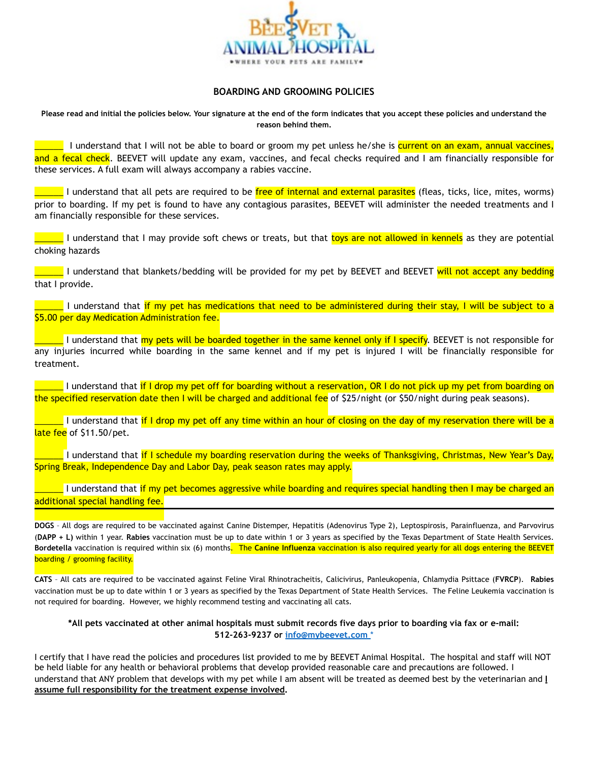

## **BOARDING AND GROOMING POLICIES**

**Please read and initial the policies below. Your signature at the end of the form indicates that you accept these policies and understand the reason behind them.** 

**The I** understand that I will not be able to board or groom my pet unless he/she is current on an exam, annual vaccines, and a fecal check. BEEVET will update any exam, vaccines, and fecal checks required and I am financially responsible for these services. A full exam will always accompany a rabies vaccine.

\_\_\_\_\_\_ I understand that all pets are required to be free of internal and external parasites (fleas, ticks, lice, mites, worms) prior to boarding. If my pet is found to have any contagious parasites, BEEVET will administer the needed treatments and I am financially responsible for these services.

\_\_\_\_\_ I understand that I may provide soft chews or treats, but that <mark>toys are not allowed in kennels</mark> as they are potential choking hazards

\_\_\_\_\_\_ I understand that blankets/bedding will be provided for my pet by BEEVET and BEEVET will not accept any bedding that I provide.

\_\_\_\_\_\_ I understand that if my pet has medications that need to be administered during their stay, I will be subject to a \$5.00 per day Medication Administration fee.

I understand that my pets will be boarded together in the same kennel only if I specify. BEEVET is not responsible for any injuries incurred while boarding in the same kennel and if my pet is injured I will be financially responsible for treatment.

 $\blacksquare$  I understand that if I drop my pet off for boarding without a reservation, OR I do not pick up my pet from boarding on the specified reservation date then I will be charged and additional fee of \$25/night (or \$50/night during peak seasons).

\_\_\_\_\_\_ I understand that if I drop my pet off any time within an hour of closing on the day of my reservation there will be a late fee of \$11.50/pet.

\_I understand that if I schedule my boarding reservation during the weeks of Thanksgiving, Christmas, New Year's Day, Spring Break, Independence Day and Labor Day, peak season rates may apply.

I understand that if my pet becomes aggressive while boarding and requires special handling then I may be charged an additional special handling fee.

**DOGS** – All dogs are required to be vaccinated against Canine Distemper, Hepatitis (Adenovirus Type 2), Leptospirosis, Parainfluenza, and Parvovirus (**DAPP + L)** within 1 year. **Rabies** vaccination must be up to date within 1 or 3 years as specified by the Texas Department of State Health Services. **Bordetella** vaccination is required within six (6) months. The **Canine Influenza** vaccination is also required yearly for all dogs entering the BEEVET boarding / grooming facility.

**CATS** – All cats are required to be vaccinated against Feline Viral Rhinotracheitis, Calicivirus, Panleukopenia, Chlamydia Psittace (**FVRCP**). **Rabies** vaccination must be up to date within 1 or 3 years as specified by the Texas Department of State Health Services. The Feline Leukemia vaccination is not required for boarding. However, we highly recommend testing and vaccinating all cats.

## **\*All pets vaccinated at other animal hospitals must submit records five days prior to boarding via fax or e-mail: 512-263-9237 or [info@mybeevet.com](mailto:info@mybeevet.com)** \*

I certify that I have read the policies and procedures list provided to me by BEEVET Animal Hospital. The hospital and staff will NOT be held liable for any health or behavioral problems that develop provided reasonable care and precautions are followed. I understand that ANY problem that develops with my pet while I am absent will be treated as deemed best by the veterinarian and **I assume full responsibility for the treatment expense involved.**